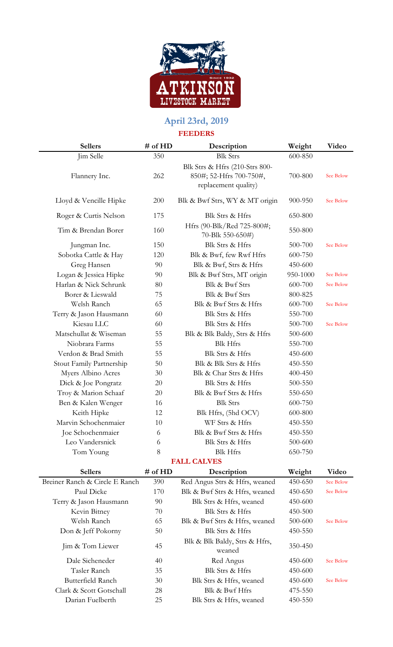

## **April 23rd, 2019 FEEDERS**

| 1 EED ENO                      |         |                                                                                   |          |                  |  |  |  |  |
|--------------------------------|---------|-----------------------------------------------------------------------------------|----------|------------------|--|--|--|--|
| <b>Sellers</b>                 | # of HD | Description                                                                       | Weight   | Video            |  |  |  |  |
| Jim Selle                      | 350     | <b>Blk Strs</b>                                                                   | 600-850  |                  |  |  |  |  |
| Flannery Inc.                  | 262     | Blk Strs & Hfrs (210-Strs 800-<br>850#; 52-Hfrs 700-750#,<br>replacement quality) | 700-800  | See Below        |  |  |  |  |
| Lloyd & Vencille Hipke         | 200     | Blk & Bwf Strs, WY & MT origin                                                    | 900-950  | See Below        |  |  |  |  |
| Roger & Curtis Nelson          | 175     | Blk Strs & Hfrs                                                                   | 650-800  |                  |  |  |  |  |
| Tim & Brendan Borer            | 160     | Hfrs (90-Blk/Red 725-800#;<br>70-Blk 550-650#)                                    | 550-800  |                  |  |  |  |  |
| Jungman Inc.                   | 150     | Blk Strs & Hfrs                                                                   | 500-700  | See Below        |  |  |  |  |
| Sobotka Cattle & Hay           | 120     | Blk & Bwf, few Rwf Hfrs                                                           | 600-750  |                  |  |  |  |  |
| Greg Hansen                    | 90      | Blk & Bwf, Strs & Hfrs                                                            | 450-600  |                  |  |  |  |  |
| Logan & Jessica Hipke          | 90      | Blk & Bwf Strs, MT origin                                                         | 950-1000 | See Below        |  |  |  |  |
| Harlan & Nick Schrunk          | 80      | Blk & Bwf Strs                                                                    | 600-700  | See Below        |  |  |  |  |
| Borer & Lieswald               | 75      | Blk & Bwf Strs                                                                    | 800-825  |                  |  |  |  |  |
| Welsh Ranch                    | 65      | Blk & Bwf Strs & Hfrs                                                             | 600-700  | See Below        |  |  |  |  |
| Terry & Jason Hausmann         | 60      | Blk Strs & Hfrs                                                                   | 550-700  |                  |  |  |  |  |
| Kiesau LLC                     | 60      | Blk Strs & Hfrs                                                                   | 500-700  | See Below        |  |  |  |  |
| Matschullat & Wiseman          | 55      | Blk & Blk Baldy, Strs & Hfrs                                                      | 500-600  |                  |  |  |  |  |
| Niobrara Farms                 | 55      | <b>Blk Hfrs</b>                                                                   | 550-700  |                  |  |  |  |  |
| Verdon & Brad Smith            | 55      | Blk Strs & Hfrs                                                                   | 450-600  |                  |  |  |  |  |
| Stout Family Partnership       | 50      | Blk & Blk Strs & Hfrs                                                             | 450-550  |                  |  |  |  |  |
| Myers Albino Acres             | 30      | Blk & Char Strs & Hfrs                                                            | 400-450  |                  |  |  |  |  |
| Dick & Joe Pongratz            | 20      | Blk Strs & Hfrs                                                                   | 500-550  |                  |  |  |  |  |
| Troy & Marion Schaaf           | 20      | Blk & Bwf Strs & Hfrs                                                             | 550-650  |                  |  |  |  |  |
| Ben & Kalen Wenger             | 16      | <b>Blk Strs</b>                                                                   | 600-750  |                  |  |  |  |  |
| Keith Hipke                    | 12      | Blk Hfrs, (5hd OCV)                                                               | 600-800  |                  |  |  |  |  |
| Marvin Schochenmaier           | 10      | WF Strs & Hfrs                                                                    | 450-550  |                  |  |  |  |  |
| Joe Schochenmaier              | 6       | Blk & Bwf Strs & Hfrs                                                             | 450-550  |                  |  |  |  |  |
| Leo Vandersnick                | 6       | Blk Strs & Hfrs                                                                   | 500-600  |                  |  |  |  |  |
| Tom Young                      | 8       | <b>Blk Hfrs</b>                                                                   | 650-750  |                  |  |  |  |  |
| <b>FALL CALVES</b>             |         |                                                                                   |          |                  |  |  |  |  |
| <b>Sellers</b>                 | # of HD | Description                                                                       | Weight   | Video            |  |  |  |  |
| Breiner Ranch & Circle E Ranch | 390     | Red Angus Strs & Hfrs, weaned                                                     | 450-650  | <b>See Below</b> |  |  |  |  |
|                                |         |                                                                                   |          |                  |  |  |  |  |

| эспегу                         | $#$ 01 $\Pi$ | Description                             | weight  | v iuco    |
|--------------------------------|--------------|-----------------------------------------|---------|-----------|
| Breiner Ranch & Circle E Ranch | 390          | Red Angus Strs & Hfrs, weaned           | 450-650 | See Below |
| Paul Dicke                     | 170          | Blk & Bwf Strs & Hfrs, weaned           | 450-650 | See Below |
| Terry & Jason Hausmann         | 90           | Blk Strs & Hfrs, weaned                 | 450-600 |           |
| Kevin Bitney                   | 70           | Blk Strs & Hfrs                         | 450-500 |           |
| Welsh Ranch                    | 65           | Blk & Bwf Strs & Hfrs, weaned           | 500-600 | See Below |
| Don & Jeff Pokorny             | 50           | Blk Strs & Hfrs                         | 450-550 |           |
| Jim & Tom Liewer               | 45           | Blk & Blk Baldy, Strs & Hfrs,<br>weaned | 350-450 |           |
| Dale Sicheneder                | 40           | Red Angus                               | 450-600 | See Below |
| Tasler Ranch                   | 35           | Blk Strs & Hfrs                         | 450-600 |           |
| Butterfield Ranch              | 30           | Blk Strs & Hfrs, weaned                 | 450-600 | See Below |
| Clark & Scott Gotschall        | 28           | Blk & Bwf Hfrs                          | 475-550 |           |
| Darian Fuelberth               | 25           | Blk Strs & Hfrs, weaned                 | 450-550 |           |